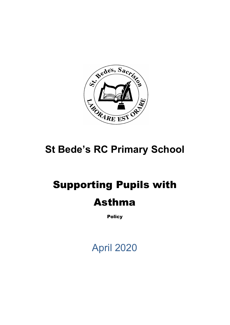

# **St Bede's RC Primary School**

# Supporting Pupils with Asthma

**Policy** 

April 2020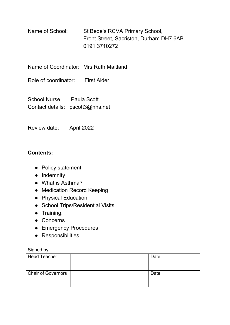Name of School: St Bede's RCVA Primary School, Front Street, Sacriston, Durham DH7 6AB 0191 3710272

Name of Coordinator: Mrs Ruth Maitland

Role of coordinator: First Aider

School Nurse: Paula Scott Contact details: pscott3@nhs.net

Review date: April 2022

### **Contents:**

- Policy statement
- Indemnity
- What is Asthma?
- Medication Record Keeping
- Physical Education
- School Trips/Residential Visits
- Training.
- Concerns
- Emergency Procedures
- Responsibilities

Signed by:

| <b>Head Teacher</b>       | Date: |
|---------------------------|-------|
| <b>Chair of Governors</b> | Date: |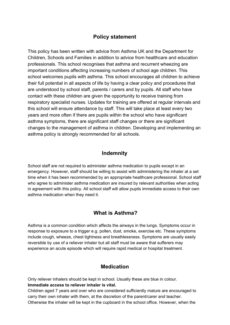## **Policy statement**

This policy has been written with advice from Asthma UK and the Department for Children, Schools and Families in addition to advice from healthcare and education professionals. This school recognises that asthma and recurrent wheezing are important conditions affecting increasing numbers of school age children. This school welcomes pupils with asthma. This school encourages all children to achieve their full potential in all aspects of life by having a clear policy and procedures that are understood by school staff, parents / carers and by pupils. All staff who have contact with these children are given the opportunity to receive training from respiratory specialist nurses. Updates for training are offered at regular intervals and this school will ensure attendance by staff. This will take place at least every two years and more often if there are pupils within the school who have significant asthma symptoms, there are significant staff changes or there are significant changes to the management of asthma in children. Developing and implementing an asthma policy is strongly recommended for all schools.

#### **Indemnity**

School staff are not required to administer asthma medication to pupils except in an emergency. However, staff should be willing to assist with administering the inhaler at a set time when it has been recommended by an appropriate healthcare professional. School staff who agree to administer asthma medication are insured by relevant authorities when acting in agreement with this policy. All school staff will allow pupils immediate access to their own asthma medication when they need it.

### **What is Asthma?**

Asthma is a common condition which affects the airways in the lungs. Symptoms occur in response to exposure to a trigger e.g. pollen, dust, smoke, exercise etc. These symptoms include cough, wheeze, chest tightness and breathlessness. Symptoms are usually easily reversible by use of a reliever inhaler but all staff must be aware that sufferers may experience an acute episode which will require rapid medical or hospital treatment.

#### **Medication**

Only reliever inhalers should be kept in school. Usually these are blue in colour. **Immediate access to reliever inhaler is vital.**

Children aged 7 years and over who are considered sufficiently mature are encouraged to carry their own inhaler with them, at the discretion of the parent/carer and teacher. Otherwise the inhaler will be kept in the cupboard in the school office. However, when the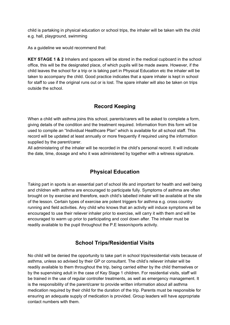child is partaking in physical education or school trips, the inhaler will be taken with the child e.g. hall, playground, swimming

As a guideline we would recommend that:

**KEY STAGE 1 & 2** Inhalers and spacers will be stored in the medical cupboard in the school office, this will be the designated place, of which pupils will be made aware. However, if the child leaves the school for a trip or is taking part in Physical Education etc the inhaler will be taken to accompany the child. Good practice indicates that a spare inhaler is kept in school for staff to use if the original runs out or is lost. The spare inhaler will also be taken on trips outside the school.

# **Record Keeping**

When a child with asthma joins this school, parents/carers will be asked to complete a form, giving details of the condition and the treatment required. Information from this form will be used to compile an "Individual Healthcare Plan" which is available for all school staff. This record will be updated at least annually or more frequently if required using the information supplied by the parent/carer.

All administering of the inhaler will be recorded in the child's personal record. It will indicate the date, time, dosage and who it was administered by together with a witness signature.

# **Physical Education**

Taking part in sports is an essential part of school life and important for health and well being and children with asthma are encouraged to participate fully. Symptoms of asthma are often brought on by exercise and therefore, each child's labelled inhaler will be available at the site of the lesson. Certain types of exercise are potent triggers for asthma e.g. cross country running and field activities. Any child who knows that an activity will induce symptoms will be encouraged to use their reliever inhaler prior to exercise, will carry it with them and will be encouraged to warm up prior to participating and cool down after. The inhaler must be readily available to the pupil throughout the P.E lesson/sports activity.

### **School Trips/Residential Visits**

No child will be denied the opportunity to take part in school trips/residential visits because of asthma, unless so advised by their GP or consultant. The child's reliever inhaler will be readily available to them throughout the trip, being carried either by the child themselves or by the supervising adult in the case of Key Stage 1 children. For residential visits, staff will be trained in the use of regular controller treatments, as well as emergency management. It is the responsibility of the parent/carer to provide written information about all asthma medication required by their child for the duration of the trip. Parents must be responsible for ensuring an adequate supply of medication is provided. Group leaders will have appropriate contact numbers with them.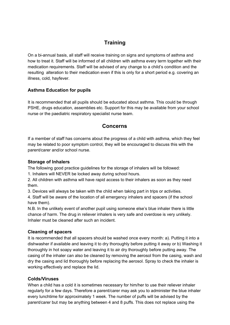# **Training**

On a bi-annual basis, all staff will receive training on signs and symptoms of asthma and how to treat it. Staff will be informed of all children with asthma every term together with their medication requirements. Staff will be advised of any change to a child's condition and the resulting alteration to their medication even if this is only for a short period e.g. covering an illness, cold, hayfever.

#### **Asthma Education for pupils**

It is recommended that all pupils should be educated about asthma. This could be through PSHE, drugs education, assemblies etc. Support for this may be available from your school nurse or the paediatric respiratory specialist nurse team.

### **Concerns**

If a member of staff has concerns about the progress of a child with asthma, which they feel may be related to poor symptom control, they will be encouraged to discuss this with the parent/carer and/or school nurse.

#### **Storage of Inhalers**

The following good practice guidelines for the storage of inhalers will be followed:

1. Inhalers will NEVER be locked away during school hours.

2. All children with asthma will have rapid access to their inhalers as soon as they need them.

3. Devices will always be taken with the child when taking part in trips or activities.

4. Staff will be aware of the location of all emergency inhalers and spacers (if the school have them).

N.B. In the unlikely event of another pupil using someone else's blue inhaler there is little chance of harm. The drug in reliever inhalers is very safe and overdose is very unlikely. Inhaler must be cleaned after such an incident.

#### **Cleaning of spacers**

It is recommended that all spacers should be washed once every month: a). Putting it into a dishwasher if available and leaving it to dry thoroughly before putting it away or b) Washing it thoroughly in hot soapy water and leaving it to air dry thoroughly before putting away. The casing of the inhaler can also be cleaned by removing the aerosol from the casing, wash and dry the casing and lid thoroughly before replacing the aerosol. Spray to check the inhaler is working effectively and replace the lid.

#### **Colds/Viruses**

When a child has a cold it is sometimes necessary for him/her to use their reliever inhaler regularly for a few days. Therefore a parent/carer may ask you to administer the blue inhaler every lunchtime for approximately 1 week. The number of puffs will be advised by the parent/carer but may be anything between 4 and 8 puffs. This does not replace using the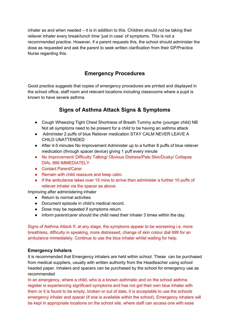inhaler as and when needed – it is in addition to this. Children should not be taking their reliever inhaler every break/lunch time 'just in case' of symptoms. This is not a recommended practice. However, if a parent requests this, the school should administer the dose as requested and ask the parent to seek written clarification from their GP/Practice Nurse regarding this.

# **Emergency Procedures**

Good practice suggests that copies of emergency procedures are printed and displayed in the school office, staff room and relevant locations including classrooms where a pupil is known to have severe asthma.

# **Signs of Asthma Attack Signs & Symptoms**

- Cough Wheezing Tight Chest Shortness of Breath Tummy ache (younger child) NB Not all symptoms need to be present for a child to be having an asthma attack
- Administer 2 puffs of blue Reliever medication STAY CALM NEVER LEAVE A CHILD UNATTENDED
- After 4-5 minutes No Improvement Administer up to a further 8 puffs of blue reliever medication (through spacer device) giving 1 puff every minute
- No Improvement/ Difficulty Talking/ Obvious Distress/Pale Skin/Dusky/ Collapse DIAL 999 IMMEDIATELY
- Contact Parent/Carer
- Remain with child reassure and keep calm.
- If the ambulance takes over 15 mins to arrive then administer a further 10 puffs of reliever inhaler via the spacer as above

Improving after administering inhaler

- Return to normal activities
- Document episode in child's medical record.
- Dose may be repeated if symptoms return.
- Inform parent/carer should the child need their inhaler 3 times within the day.

Signs of Asthma Attack If, at any stage, the symptoms appear to be worsening i.e. more breathless, difficulty in speaking, more distressed, change of skin colour dial 999 for an ambulance immediately. Continue to use the blue inhaler whilst waiting for help.

#### **Emergency Inhalers**

It is recommended that Emergency inhalers are held within school. These can be purchased from medical suppliers, usually with written authority from the Headteacher using school headed paper. Inhalers and spacers can be purchased by the school for emergency use as recommended

In an emergency, where a child, who is a known asthmatic and on the school asthma register is experiencing significant symptoms and has not got their own blue inhaler with them or it is found to be empty, broken or out of date, it is acceptable to use the schools emergency inhaler and spacer (if one is available within the school). Emergency inhalers will be kept in appropriate locations on the school site, where staff can access one with ease